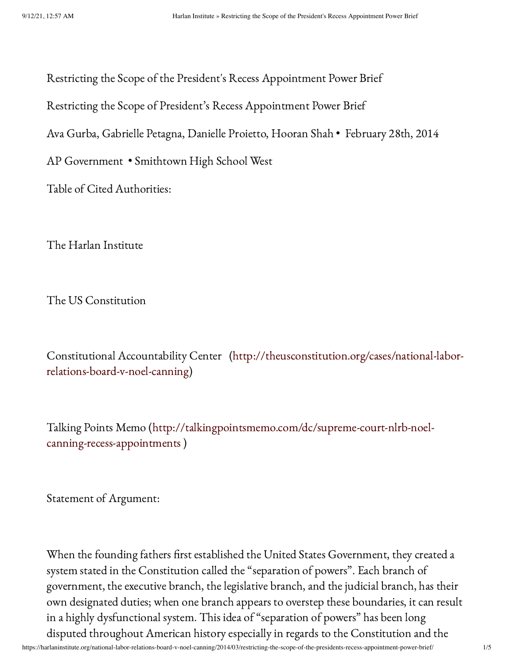Restricting the Scope of the President's Recess Appointment Power Brief

Restricting the Scope of President's Recess Appointment Power Brief

Ava Gurba, Gabrielle Petagna, Danielle Proietto, Hooran Shah • February 28th, 2014

AP Government • Smithtown High School West

Table of Cited Authorities:

The Harlan Institute

The US Constitution

Constitutional Accountability Center [\(http://theusconstitution.org/cases/national-labor](http://theusconstitution.org/cases/national-labor-relations-board-v-noel-canning)relations-board-v-noel-canning)

Talking Points Memo [\(http://talkingpointsmemo.com/dc/supreme-court-nlrb-noel](http://talkingpointsmemo.com/dc/supreme-court-nlrb-noel-canning-recess-appointments)canning-recess-appointments )

Statement of Argument:

When the founding fathers first established the United States Government, they created a system stated in the Constitution called the "separation of powers". Each branch of government, the executive branch, the legislative branch, and the judicial branch, has their own designated duties; when one branch appears to overstep these boundaries, it can result in a highly dysfunctional system. This idea of "separation of powers" has been long disputed throughout American history especially in regards to the Constitution and the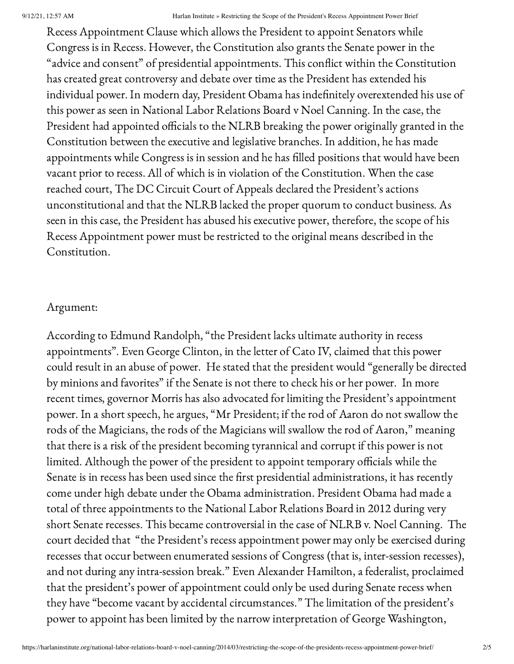Recess Appointment Clause which allows the President to appoint Senators while Congress is in Recess. However, the Constitution also grants the Senate power in the "advice and consent" of presidential appointments. This conflict within the Constitution has created great controversy and debate over time as the President has extended his individual power. In modern day, President Obama has indefinitely overextended his use of this power as seen in National Labor Relations Board v Noel Canning. In the case, the President had appointed officials to the NLRB breaking the power originally granted in the Constitution between the executive and legislative branches. In addition, he has made appointments while Congress is in session and he has filled positions that would have been vacant prior to recess. All of which is in violation of the Constitution. When the case reached court, The DC Circuit Court of Appeals declared the President's actions unconstitutional and that the NLRB lacked the proper quorum to conduct business. As seen in this case, the President has abused his executive power, therefore, the scope of his Recess Appointment power must be restricted to the original means described in the Constitution.

# Argument:

According to Edmund Randolph, "the President lacks ultimate authority in recess appointments". Even George Clinton, in the letter of Cato IV, claimed that this power could result in an abuse of power. He stated that the president would "generally be directed by minions and favorites" if the Senate is not there to check his or her power. In more recent times, governor Morris has also advocated for limiting the President's appointment power. In a short speech, he argues, "Mr President; if the rod of Aaron do not swallow the rods of the Magicians, the rods of the Magicians will swallow the rod of Aaron," meaning that there is a risk of the president becoming tyrannical and corrupt if this power is not limited. Although the power of the president to appoint temporary officials while the Senate is in recess has been used since the first presidential administrations, it has recently come under high debate under the Obama administration. President Obama had made a total of three appointments to the National Labor Relations Board in 2012 during very short Senate recesses. This became controversial in the case of NLRB v. Noel Canning. The court decided that "the President's recess appointment power may only be exercised during recesses that occur between enumerated sessions of Congress (that is, inter-session recesses), and not during any intra-session break." Even Alexander Hamilton, a federalist, proclaimed that the president's power of appointment could only be used during Senate recess when they have "become vacant by accidental circumstances." The limitation of the president's power to appoint has been limited by the narrow interpretation of George Washington,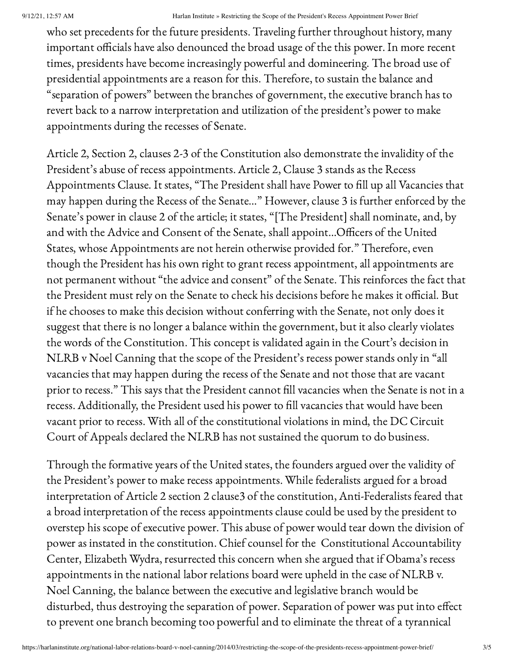who set precedents for the future presidents. Traveling further throughout history, many important officials have also denounced the broad usage of the this power. In more recent times, presidents have become increasingly powerful and domineering. The broad use of presidential appointments are a reason for this. Therefore, to sustain the balance and "separation of powers" between the branches of government, the executive branch has to revert back to a narrow interpretation and utilization of the president's power to make appointments during the recesses of Senate.

Article 2, Section 2, clauses 2-3 of the Constitution also demonstrate the invalidity of the President's abuse of recess appointments. Article 2, Clause 3 stands as the Recess Appointments Clause. It states, "The President shall have Power to fill up all Vacancies that may happen during the Recess of the Senate…" However, clause 3 is further enforced by the Senate's power in clause 2 of the article; it states, "[The President] shall nominate, and, by and with the Advice and Consent of the Senate, shall appoint…Officers of the United States, whose Appointments are not herein otherwise provided for." Therefore, even though the President has his own right to grant recess appointment, all appointments are not permanent without "the advice and consent" of the Senate. This reinforces the fact that the President must rely on the Senate to check his decisions before he makes it official. But if he chooses to make this decision without conferring with the Senate, not only does it suggest that there is no longer a balance within the government, but it also clearly violates the words of the Constitution. This concept is validated again in the Court's decision in NLRB v Noel Canning that the scope of the President's recess power stands only in "all vacancies that may happen during the recess of the Senate and not those that are vacant prior to recess." This says that the President cannot fill vacancies when the Senate is not in a recess. Additionally, the President used his power to fill vacancies that would have been vacant prior to recess. With all of the constitutional violations in mind, the DC Circuit Court of Appeals declared the NLRB has not sustained the quorum to do business.

Through the formative years of the United states, the founders argued over the validity of the President's power to make recess appointments. While federalists argued for a broad interpretation of Article 2 section 2 clause3 of the constitution, Anti-Federalists feared that a broad interpretation of the recess appointments clause could be used by the president to overstep his scope of executive power. This abuse of power would tear down the division of power as instated in the constitution. Chief counsel for the Constitutional Accountability Center, Elizabeth Wydra, resurrected this concern when she argued that if Obama's recess appointments in the national labor relations board were upheld in the case of NLRB v. Noel Canning, the balance between the executive and legislative branch would be disturbed, thus destroying the separation of power. Separation of power was put into effect to prevent one branch becoming too powerful and to eliminate the threat of a tyrannical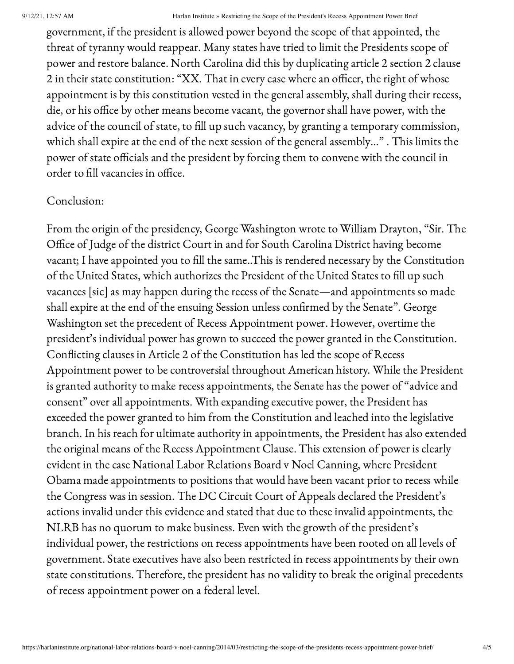government, if the president is allowed power beyond the scope of that appointed, the threat of tyranny would reappear. Many states have tried to limit the Presidents scope of power and restore balance. North Carolina did this by duplicating article 2 section 2 clause 2 in their state constitution: "XX. That in every case where an officer, the right of whose appointment is by this constitution vested in the general assembly, shall during their recess, die, or his office by other means become vacant, the governor shall have power, with the advice of the council of state, to fill up such vacancy, by granting a temporary commission, which shall expire at the end of the next session of the general assembly…" . This limits the power of state officials and the president by forcing them to convene with the council in order to fill vacancies in office.

# Conclusion:

From the origin of the presidency, George Washington wrote to William Drayton, "Sir. The Office of Judge of the district Court in and for South Carolina District having become vacant; I have appointed you to fill the same..This is rendered necessary by the Constitution of the United States, which authorizes the President of the United States to fill up such vacances [sic] as may happen during the recess of the Senate—and appointments so made shall expire at the end of the ensuing Session unless confirmed by the Senate". George Washington set the precedent of Recess Appointment power. However, overtime the president's individual power has grown to succeed the power granted in the Constitution. Conflicting clauses in Article 2 of the Constitution has led the scope of Recess Appointment power to be controversial throughout American history. While the President is granted authority to make recess appointments, the Senate has the power of "advice and consent" over all appointments. With expanding executive power, the President has exceeded the power granted to him from the Constitution and leached into the legislative branch. In his reach for ultimate authority in appointments, the President has also extended the original means of the Recess Appointment Clause. This extension of power is clearly evident in the case National Labor Relations Board v Noel Canning, where President Obama made appointments to positions that would have been vacant prior to recess while the Congress was in session. The DC Circuit Court of Appeals declared the President's actions invalid under this evidence and stated that due to these invalid appointments, the NLRB has no quorum to make business. Even with the growth of the president's individual power, the restrictions on recess appointments have been rooted on all levels of government. State executives have also been restricted in recess appointments by their own state constitutions. Therefore, the president has no validity to break the original precedents of recess appointment power on a federal level.